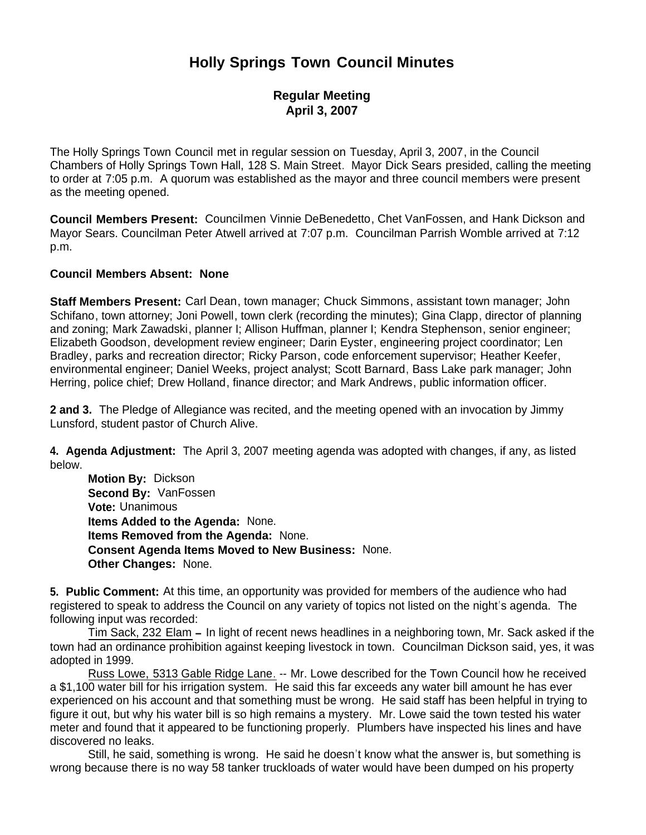# **Holly Springs Town Council Minutes**

# **Regular Meeting April 3, 2007**

The Holly Springs Town Council met in regular session on Tuesday, April 3, 2007, in the Council Chambers of Holly Springs Town Hall, 128 S. Main Street. Mayor Dick Sears presided, calling the meeting to order at 7:05 p.m. A quorum was established as the mayor and three council members were present as the meeting opened.

**Council Members Present:** Councilmen Vinnie DeBenedetto, Chet VanFossen, and Hank Dickson and Mayor Sears. Councilman Peter Atwell arrived at 7:07 p.m. Councilman Parrish Womble arrived at 7:12 p.m.

## **Council Members Absent: None**

**Staff Members Present:** Carl Dean, town manager; Chuck Simmons, assistant town manager; John Schifano, town attorney; Joni Powell, town clerk (recording the minutes); Gina Clapp, director of planning and zoning; Mark Zawadski, planner I; Allison Huffman, planner I; Kendra Stephenson, senior engineer; Elizabeth Goodson, development review engineer; Darin Eyster, engineering project coordinator; Len Bradley, parks and recreation director; Ricky Parson, code enforcement supervisor; Heather Keefer, environmental engineer; Daniel Weeks, project analyst; Scott Barnard, Bass Lake park manager; John Herring, police chief; Drew Holland, finance director; and Mark Andrews, public information officer.

**2 and 3.** The Pledge of Allegiance was recited, and the meeting opened with an invocation by Jimmy Lunsford, student pastor of Church Alive.

**4. Agenda Adjustment:** The April 3, 2007 meeting agenda was adopted with changes, if any, as listed below.

 **Motion By:** Dickson **Second By:** VanFossen **Vote:** Unanimous **Items Added to the Agenda:** None. **Items Removed from the Agenda:** None. **Consent Agenda Items Moved to New Business:** None. **Other Changes:** None.

**5. Public Comment:** At this time, an opportunity was provided for members of the audience who had registered to speak to address the Council on any variety of topics not listed on the night's agenda. The following input was recorded:

Tim Sack, 232 Elam **–** In light of recent news headlines in a neighboring town, Mr. Sack asked if the town had an ordinance prohibition against keeping livestock in town. Councilman Dickson said, yes, it was adopted in 1999.

Russ Lowe, 5313 Gable Ridge Lane. -- Mr. Lowe described for the Town Council how he received a \$1,100 water bill for his irrigation system. He said this far exceeds any water bill amount he has ever experienced on his account and that something must be wrong. He said staff has been helpful in trying to figure it out, but why his water bill is so high remains a mystery. Mr. Lowe said the town tested his water meter and found that it appeared to be functioning properly. Plumbers have inspected his lines and have discovered no leaks.

Still, he said, something is wrong. He said he doesn't know what the answer is, but something is wrong because there is no way 58 tanker truckloads of water would have been dumped on his property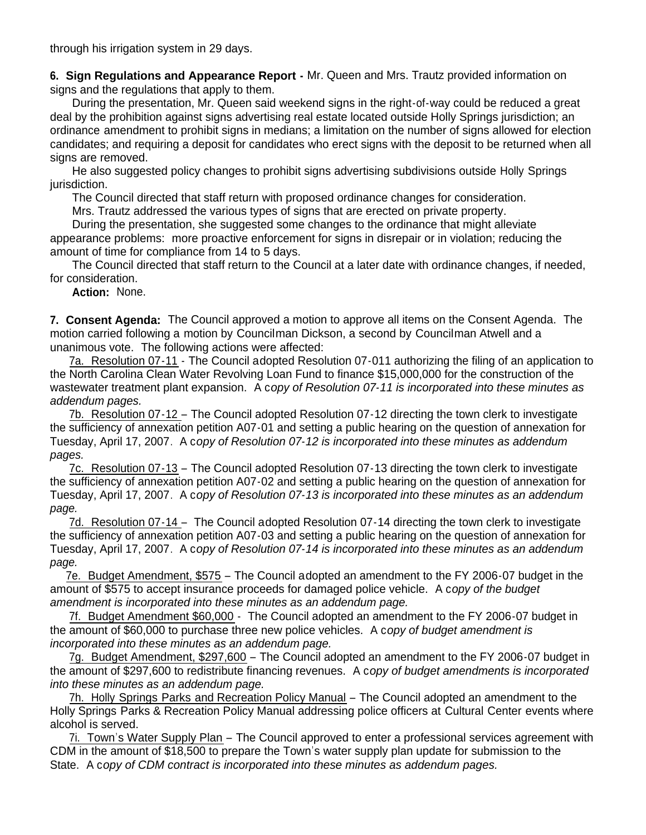through his irrigation system in 29 days.

**6. Sign Regulations and Appearance Report -** Mr. Queen and Mrs. Trautz provided information on signs and the regulations that apply to them.

During the presentation, Mr. Queen said weekend signs in the right-of-way could be reduced a great deal by the prohibition against signs advertising real estate located outside Holly Springs jurisdiction; an ordinance amendment to prohibit signs in medians; a limitation on the number of signs allowed for election candidates; and requiring a deposit for candidates who erect signs with the deposit to be returned when all signs are removed.

 He also suggested policy changes to prohibit signs advertising subdivisions outside Holly Springs jurisdiction.

The Council directed that staff return with proposed ordinance changes for consideration.

Mrs. Trautz addressed the various types of signs that are erected on private property.

 During the presentation, she suggested some changes to the ordinance that might alleviate appearance problems: more proactive enforcement for signs in disrepair or in violation; reducing the amount of time for compliance from 14 to 5 days.

 The Council directed that staff return to the Council at a later date with ordinance changes, if needed, for consideration.

 **Action:** None.

**7. Consent Agenda:** The Council approved a motion to approve all items on the Consent Agenda. The motion carried following a motion by Councilman Dickson, a second by Councilman Atwell and a unanimous vote. The following actions were affected:

 7a. Resolution 07-11 - The Council adopted Resolution 07-011 authorizing the filing of an application to the North Carolina Clean Water Revolving Loan Fund to finance \$15,000,000 for the construction of the wastewater treatment plant expansion. A c*opy of Resolution 07-11 is incorporated into these minutes as addendum pages.*

 7b. Resolution 07-12 – The Council adopted Resolution 07-12 directing the town clerk to investigate the sufficiency of annexation petition A07-01 and setting a public hearing on the question of annexation for Tuesday, April 17, 2007. A c*opy of Resolution 07-12 is incorporated into these minutes as addendum pages.*

 7c. Resolution 07-13 – The Council adopted Resolution 07-13 directing the town clerk to investigate the sufficiency of annexation petition A07-02 and setting a public hearing on the question of annexation for Tuesday, April 17, 2007. A c*opy of Resolution 07-13 is incorporated into these minutes as an addendum page.*

7d. Resolution 07-14 – The Council adopted Resolution 07-14 directing the town clerk to investigate the sufficiency of annexation petition A07-03 and setting a public hearing on the question of annexation for Tuesday, April 17, 2007. A c*opy of Resolution 07-14 is incorporated into these minutes as an addendum page.*

 7e. Budget Amendment, \$575 – The Council adopted an amendment to the FY 2006-07 budget in the amount of \$575 to accept insurance proceeds for damaged police vehicle. A c*opy of the budget amendment is incorporated into these minutes as an addendum page.*

7f. Budget Amendment \$60,000 - The Council adopted an amendment to the FY 2006-07 budget in the amount of \$60,000 to purchase three new police vehicles. A c*opy of budget amendment is incorporated into these minutes as an addendum page.*

7g. Budget Amendment, \$297,600 - The Council adopted an amendment to the FY 2006-07 budget in the amount of \$297,600 to redistribute financing revenues. A c*opy of budget amendments is incorporated into these minutes as an addendum page.*

 7h. Holly Springs Parks and Recreation Policy Manual – The Council adopted an amendment to the Holly Springs Parks & Recreation Policy Manual addressing police officers at Cultural Center events where alcohol is served.

 7i. Town's Water Supply Plan – The Council approved to enter a professional services agreement with CDM in the amount of \$18,500 to prepare the Town's water supply plan update for submission to the State. A c*opy of CDM contract is incorporated into these minutes as addendum pages.*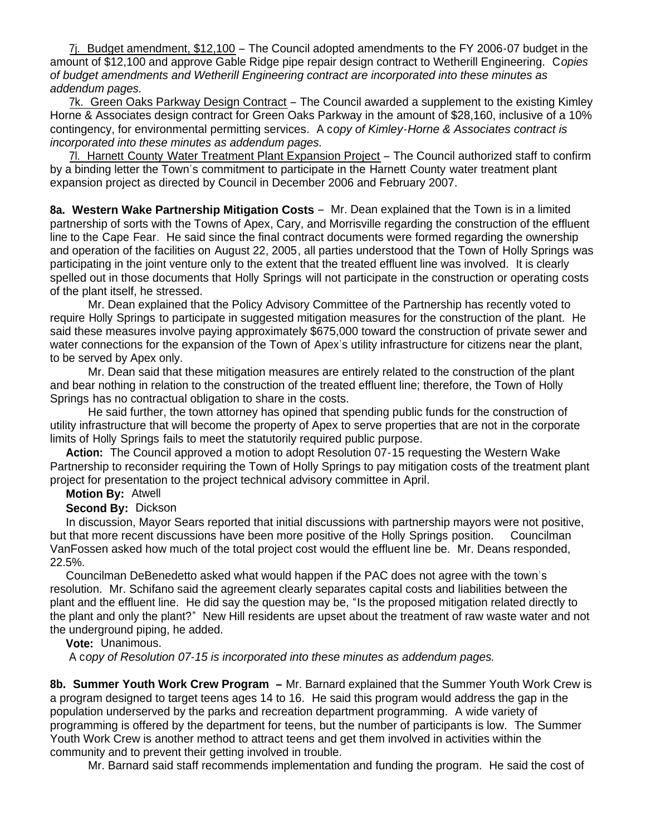7j. Budget amendment, \$12,100 – The Council adopted amendments to the FY 2006-07 budget in the amount of \$12,100 and approve Gable Ridge pipe repair design contract to Wetherill Engineering. C*opies of budget amendments and Wetherill Engineering contract are incorporated into these minutes as addendum pages.*

 7k. Green Oaks Parkway Design Contract – The Council awarded a supplement to the existing Kimley Horne & Associates design contract for Green Oaks Parkway in the amount of \$28,160, inclusive of a 10% contingency, for environmental permitting services. A c*opy of Kimley-Horne & Associates contract is incorporated into these minutes as addendum pages.*

 7l. Harnett County Water Treatment Plant Expansion Project – The Council authorized staff to confirm by a binding letter the Town's commitment to participate in the Harnett County water treatment plant expansion project as directed by Council in December 2006 and February 2007.

**8a. Western Wake Partnership Mitigation Costs** – Mr. Dean explained that the Town is in a limited partnership of sorts with the Towns of Apex, Cary, and Morrisville regarding the construction of the effluent line to the Cape Fear. He said since the final contract documents were formed regarding the ownership and operation of the facilities on August 22, 2005, all parties understood that the Town of Holly Springs was participating in the joint venture only to the extent that the treated effluent line was involved. It is clearly spelled out in those documents that Holly Springs will not participate in the construction or operating costs of the plant itself, he stressed.

 Mr. Dean explained that the Policy Advisory Committee of the Partnership has recently voted to require Holly Springs to participate in suggested mitigation measures for the construction of the plant. He said these measures involve paying approximately \$675,000 toward the construction of private sewer and water connections for the expansion of the Town of Apex's utility infrastructure for citizens near the plant, to be served by Apex only.

 Mr. Dean said that these mitigation measures are entirely related to the construction of the plant and bear nothing in relation to the construction of the treated effluent line; therefore, the Town of Holly Springs has no contractual obligation to share in the costs.

 He said further, the town attorney has opined that spending public funds for the construction of utility infrastructure that will become the property of Apex to serve properties that are not in the corporate limits of Holly Springs fails to meet the statutorily required public purpose.

 **Action:** The Council approved a motion to adopt Resolution 07-15 requesting the Western Wake Partnership to reconsider requiring the Town of Holly Springs to pay mitigation costs of the treatment plant project for presentation to the project technical advisory committee in April.

## **Motion By:** Atwell

#### **Second By:** Dickson

 In discussion, Mayor Sears reported that initial discussions with partnership mayors were not positive, but that more recent discussions have been more positive of the Holly Springs position. Councilman VanFossen asked how much of the total project cost would the effluent line be. Mr. Deans responded, 22.5%.

 Councilman DeBenedetto asked what would happen if the PAC does not agree with the town's resolution. Mr. Schifano said the agreement clearly separates capital costs and liabilities between the plant and the effluent line. He did say the question may be, "Is the proposed mitigation related directly to the plant and only the plant?" New Hill residents are upset about the treatment of raw waste water and not the underground piping, he added.

## **Vote:** Unanimous.

A c*opy of Resolution 07-15 is incorporated into these minutes as addendum pages.*

**8b. Summer Youth Work Crew Program –** Mr. Barnard explained that the Summer Youth Work Crew is a program designed to target teens ages 14 to 16. He said this program would address the gap in the population underserved by the parks and recreation department programming. A wide variety of programming is offered by the department for teens, but the number of participants is low. The Summer Youth Work Crew is another method to attract teens and get them involved in activities within the community and to prevent their getting involved in trouble.

Mr. Barnard said staff recommends implementation and funding the program. He said the cost of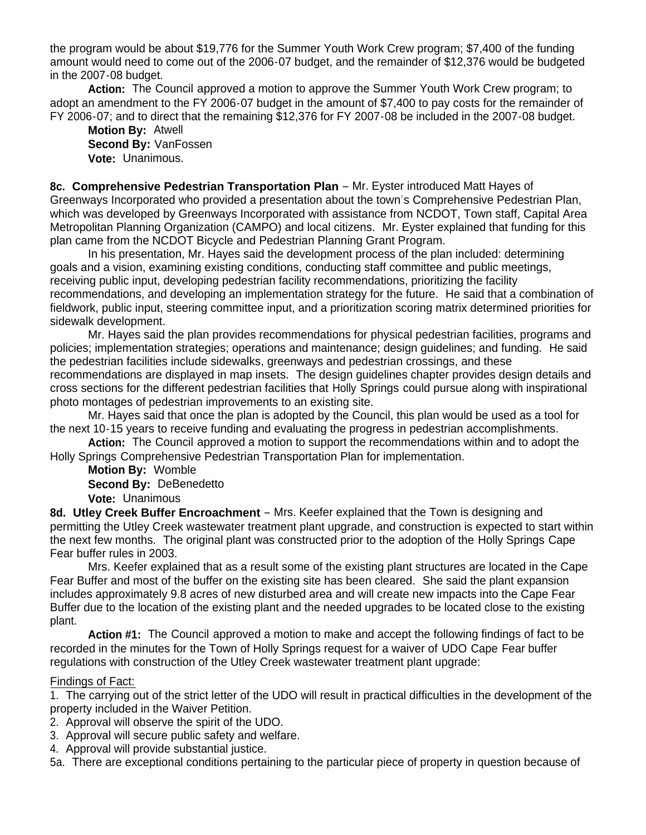the program would be about \$19,776 for the Summer Youth Work Crew program; \$7,400 of the funding amount would need to come out of the 2006-07 budget, and the remainder of \$12,376 would be budgeted in the 2007-08 budget.

 **Action:** The Council approved a motion to approve the Summer Youth Work Crew program; to adopt an amendment to the FY 2006-07 budget in the amount of \$7,400 to pay costs for the remainder of FY 2006-07; and to direct that the remaining \$12,376 for FY 2007-08 be included in the 2007-08 budget.

 **Motion By:** Atwell **Second By:** VanFossen **Vote:** Unanimous.

**8c. Comprehensive Pedestrian Transportation Plan** – Mr. Eyster introduced Matt Hayes of Greenways Incorporated who provided a presentation about the town's Comprehensive Pedestrian Plan, which was developed by Greenways Incorporated with assistance from NCDOT, Town staff, Capital Area Metropolitan Planning Organization (CAMPO) and local citizens. Mr. Eyster explained that funding for this plan came from the NCDOT Bicycle and Pedestrian Planning Grant Program.

In his presentation, Mr. Hayes said the development process of the plan included: determining goals and a vision, examining existing conditions, conducting staff committee and public meetings, receiving public input, developing pedestrian facility recommendations, prioritizing the facility recommendations, and developing an implementation strategy for the future. He said that a combination of fieldwork, public input, steering committee input, and a prioritization scoring matrix determined priorities for sidewalk development.

 Mr. Hayes said the plan provides recommendations for physical pedestrian facilities, programs and policies; implementation strategies; operations and maintenance; design guidelines; and funding. He said the pedestrian facilities include sidewalks, greenways and pedestrian crossings, and these recommendations are displayed in map insets. The design guidelines chapter provides design details and cross sections for the different pedestrian facilities that Holly Springs could pursue along with inspirational photo montages of pedestrian improvements to an existing site.

 Mr. Hayes said that once the plan is adopted by the Council, this plan would be used as a tool for the next 10-15 years to receive funding and evaluating the progress in pedestrian accomplishments.

**Action:** The Council approved a motion to support the recommendations within and to adopt the Holly Springs Comprehensive Pedestrian Transportation Plan for implementation.

**Motion By:** Womble **Second By:** DeBenedetto **Vote:** Unanimous

**8d. Utley Creek Buffer Encroachment** – Mrs. Keefer explained that the Town is designing and permitting the Utley Creek wastewater treatment plant upgrade, and construction is expected to start within the next few months. The original plant was constructed prior to the adoption of the Holly Springs Cape Fear buffer rules in 2003.

Mrs. Keefer explained that as a result some of the existing plant structures are located in the Cape Fear Buffer and most of the buffer on the existing site has been cleared. She said the plant expansion includes approximately 9.8 acres of new disturbed area and will create new impacts into the Cape Fear Buffer due to the location of the existing plant and the needed upgrades to be located close to the existing plant.

**Action #1:** The Council approved a motion to make and accept the following findings of fact to be recorded in the minutes for the Town of Holly Springs request for a waiver of UDO Cape Fear buffer regulations with construction of the Utley Creek wastewater treatment plant upgrade:

## Findings of Fact:

1. The carrying out of the strict letter of the UDO will result in practical difficulties in the development of the property included in the Waiver Petition.

2. Approval will observe the spirit of the UDO.

- 3. Approval will secure public safety and welfare.
- 4. Approval will provide substantial justice.

5a. There are exceptional conditions pertaining to the particular piece of property in question because of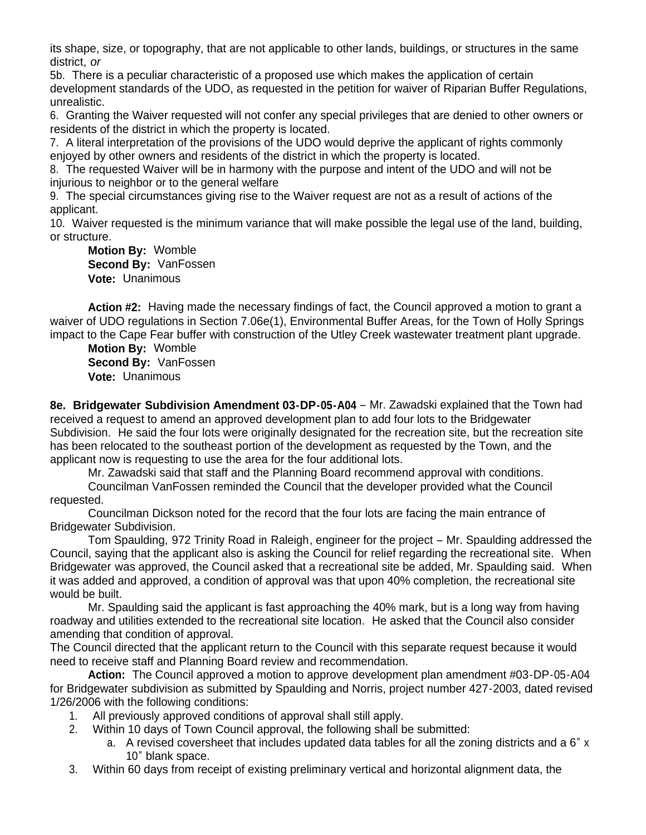its shape, size, or topography, that are not applicable to other lands, buildings, or structures in the same district, *or*

5b. There is a peculiar characteristic of a proposed use which makes the application of certain development standards of the UDO, as requested in the petition for waiver of Riparian Buffer Regulations, unrealistic.

6. Granting the Waiver requested will not confer any special privileges that are denied to other owners or residents of the district in which the property is located.

7. A literal interpretation of the provisions of the UDO would deprive the applicant of rights commonly enjoyed by other owners and residents of the district in which the property is located.

8. The requested Waiver will be in harmony with the purpose and intent of the UDO and will not be injurious to neighbor or to the general welfare

9. The special circumstances giving rise to the Waiver request are not as a result of actions of the applicant.

10. Waiver requested is the minimum variance that will make possible the legal use of the land, building, or structure.

 **Motion By:** Womble **Second By:** VanFossen **Vote:** Unanimous

Action #2: Having made the necessary findings of fact, the Council approved a motion to grant a waiver of UDO regulations in Section 7.06e(1), Environmental Buffer Areas, for the Town of Holly Springs impact to the Cape Fear buffer with construction of the Utley Creek wastewater treatment plant upgrade.

 **Motion By:** Womble **Second By:** VanFossen **Vote:** Unanimous

**8e. Bridgewater Subdivision Amendment 03-DP-05-A04** – Mr. Zawadski explained that the Town had received a request to amend an approved development plan to add four lots to the Bridgewater Subdivision. He said the four lots were originally designated for the recreation site, but the recreation site has been relocated to the southeast portion of the development as requested by the Town, and the applicant now is requesting to use the area for the four additional lots.

Mr. Zawadski said that staff and the Planning Board recommend approval with conditions.

 Councilman VanFossen reminded the Council that the developer provided what the Council requested.

 Councilman Dickson noted for the record that the four lots are facing the main entrance of Bridgewater Subdivision.

 Tom Spaulding, 972 Trinity Road in Raleigh, engineer for the project – Mr. Spaulding addressed the Council, saying that the applicant also is asking the Council for relief regarding the recreational site. When Bridgewater was approved, the Council asked that a recreational site be added, Mr. Spaulding said. When it was added and approved, a condition of approval was that upon 40% completion, the recreational site would be built.

Mr. Spaulding said the applicant is fast approaching the 40% mark, but is a long way from having roadway and utilities extended to the recreational site location. He asked that the Council also consider amending that condition of approval.

The Council directed that the applicant return to the Council with this separate request because it would need to receive staff and Planning Board review and recommendation.

 **Action:** The Council approved a motion to approve development plan amendment #03-DP-05-A04 for Bridgewater subdivision as submitted by Spaulding and Norris, project number 427-2003, dated revised 1/26/2006 with the following conditions:

- 1. All previously approved conditions of approval shall still apply.
- 2. Within 10 days of Town Council approval, the following shall be submitted:
	- a. A revised coversheet that includes updated data tables for all the zoning districts and a 6" x 10" blank space.
- 3. Within 60 days from receipt of existing preliminary vertical and horizontal alignment data, the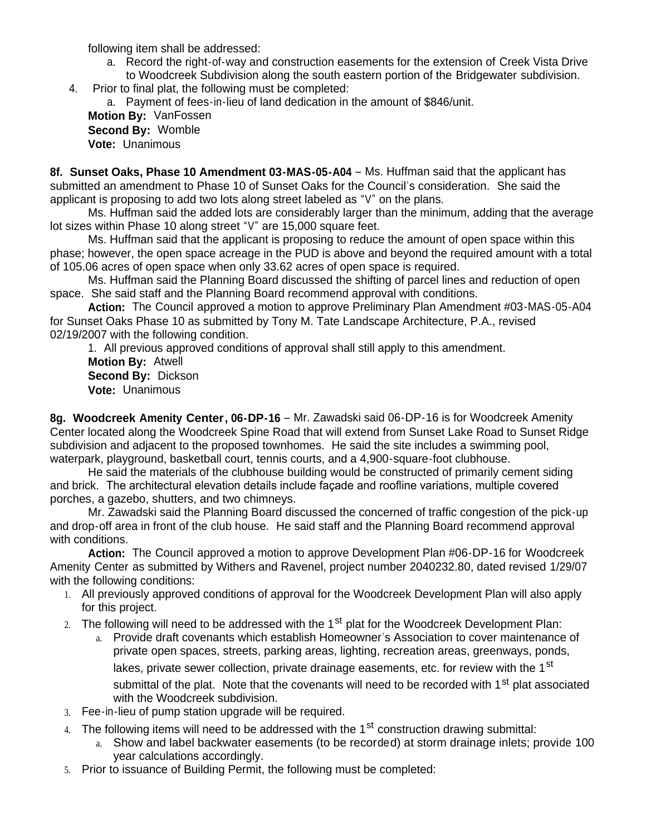following item shall be addressed:

- a. Record the right-of-way and construction easements for the extension of Creek Vista Drive to Woodcreek Subdivision along the south eastern portion of the Bridgewater subdivision.
- 4. Prior to final plat, the following must be completed:

a. Payment of fees-in-lieu of land dedication in the amount of \$846/unit.

 **Motion By:** VanFossen **Second By:** Womble **Vote:** Unanimous

**8f. Sunset Oaks, Phase 10 Amendment 03-MAS-05-A04** – Ms. Huffman said that the applicant has submitted an amendment to Phase 10 of Sunset Oaks for the Council's consideration. She said the applicant is proposing to add two lots along street labeled as "V" on the plans.

 Ms. Huffman said the added lots are considerably larger than the minimum, adding that the average lot sizes within Phase 10 along street "V" are 15,000 square feet.

 Ms. Huffman said that the applicant is proposing to reduce the amount of open space within this phase; however, the open space acreage in the PUD is above and beyond the required amount with a total of 105.06 acres of open space when only 33.62 acres of open space is required.

 Ms. Huffman said the Planning Board discussed the shifting of parcel lines and reduction of open space. She said staff and the Planning Board recommend approval with conditions.

 **Action:** The Council approved a motion to approve Preliminary Plan Amendment #03-MAS-05-A04 for Sunset Oaks Phase 10 as submitted by Tony M. Tate Landscape Architecture, P.A., revised 02/19/2007 with the following condition.

1. All previous approved conditions of approval shall still apply to this amendment.

 **Motion By:** Atwell **Second By:** Dickson **Vote:** Unanimous

**8g. Woodcreek Amenity Center, 06-DP-16** – Mr. Zawadski said 06-DP-16 is for Woodcreek Amenity Center located along the Woodcreek Spine Road that will extend from Sunset Lake Road to Sunset Ridge subdivision and adjacent to the proposed townhomes. He said the site includes a swimming pool, waterpark, playground, basketball court, tennis courts, and a 4,900-square-foot clubhouse.

 He said the materials of the clubhouse building would be constructed of primarily cement siding and brick. The architectural elevation details include façade and roofline variations, multiple covered porches, a gazebo, shutters, and two chimneys.

 Mr. Zawadski said the Planning Board discussed the concerned of traffic congestion of the pick-up and drop-off area in front of the club house. He said staff and the Planning Board recommend approval with conditions.

 **Action:** The Council approved a motion to approve Development Plan #06-DP-16 for Woodcreek Amenity Center as submitted by Withers and Ravenel, project number 2040232.80, dated revised 1/29/07 with the following conditions:

- 1. All previously approved conditions of approval for the Woodcreek Development Plan will also apply for this project.
- 2. The following will need to be addressed with the  $1<sup>st</sup>$  plat for the Woodcreek Development Plan:
	- a. Provide draft covenants which establish Homeowner's Association to cover maintenance of private open spaces, streets, parking areas, lighting, recreation areas, greenways, ponds, lakes, private sewer collection, private drainage easements, etc. for review with the 1<sup>st</sup> submittal of the plat. Note that the covenants will need to be recorded with 1<sup>st</sup> plat associated with the Woodcreek subdivision.
- 3. Fee-in-lieu of pump station upgrade will be required.
- 4. The following items will need to be addressed with the 1<sup>st</sup> construction drawing submittal:
	- a. Show and label backwater easements (to be recorded) at storm drainage inlets; provide 100 year calculations accordingly.
- 5. Prior to issuance of Building Permit, the following must be completed: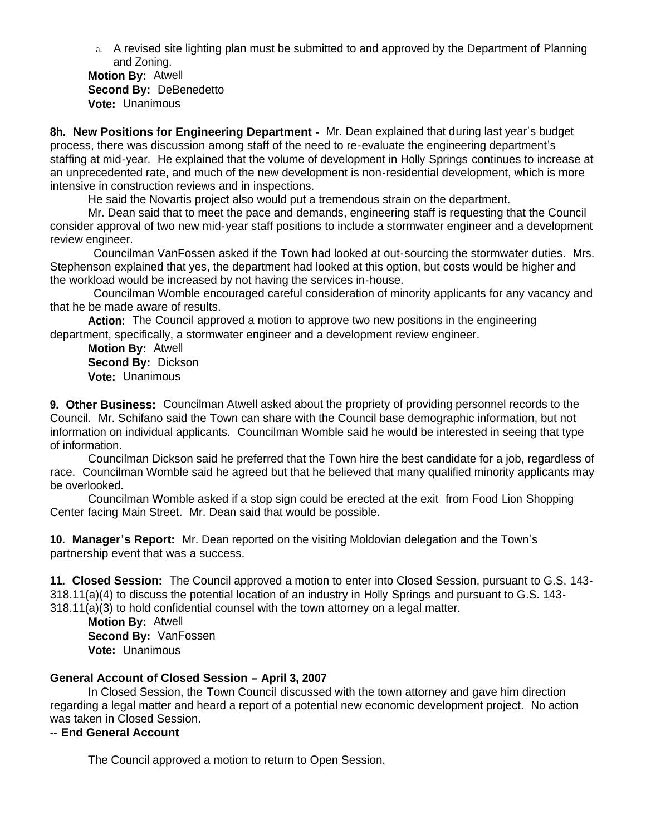a. A revised site lighting plan must be submitted to and approved by the Department of Planning and Zoning.

 **Motion By:** Atwell **Second By:** DeBenedetto **Vote:** Unanimous

**8h. New Positions for Engineering Department -** Mr. Dean explained that during last year's budget process, there was discussion among staff of the need to re-evaluate the engineering department's staffing at mid-year. He explained that the volume of development in Holly Springs continues to increase at an unprecedented rate, and much of the new development is non-residential development, which is more intensive in construction reviews and in inspections.

He said the Novartis project also would put a tremendous strain on the department.

 Mr. Dean said that to meet the pace and demands, engineering staff is requesting that the Council consider approval of two new mid-year staff positions to include a stormwater engineer and a development review engineer.

Councilman VanFossen asked if the Town had looked at out-sourcing the stormwater duties. Mrs. Stephenson explained that yes, the department had looked at this option, but costs would be higher and the workload would be increased by not having the services in-house.

Councilman Womble encouraged careful consideration of minority applicants for any vacancy and that he be made aware of results.

 **Action:** The Council approved a motion to approve two new positions in the engineering department, specifically, a stormwater engineer and a development review engineer.

 **Motion By:** Atwell **Second By:** Dickson **Vote:** Unanimous

**9. Other Business:** Councilman Atwell asked about the propriety of providing personnel records to the Council. Mr. Schifano said the Town can share with the Council base demographic information, but not information on individual applicants. Councilman Womble said he would be interested in seeing that type of information.

 Councilman Dickson said he preferred that the Town hire the best candidate for a job, regardless of race. Councilman Womble said he agreed but that he believed that many qualified minority applicants may be overlooked.

 Councilman Womble asked if a stop sign could be erected at the exit from Food Lion Shopping Center facing Main Street. Mr. Dean said that would be possible.

**10. Manager's Report:** Mr. Dean reported on the visiting Moldovian delegation and the Town's partnership event that was a success.

**11. Closed Session:** The Council approved a motion to enter into Closed Session, pursuant to G.S. 143- 318.11(a)(4) to discuss the potential location of an industry in Holly Springs and pursuant to G.S. 143- 318.11(a)(3) to hold confidential counsel with the town attorney on a legal matter.

 **Motion By:** Atwell **Second By:** VanFossen **Vote:** Unanimous

# **General Account of Closed Session – April 3, 2007**

 In Closed Session, the Town Council discussed with the town attorney and gave him direction regarding a legal matter and heard a report of a potential new economic development project. No action was taken in Closed Session.

**-- End General Account**

The Council approved a motion to return to Open Session.